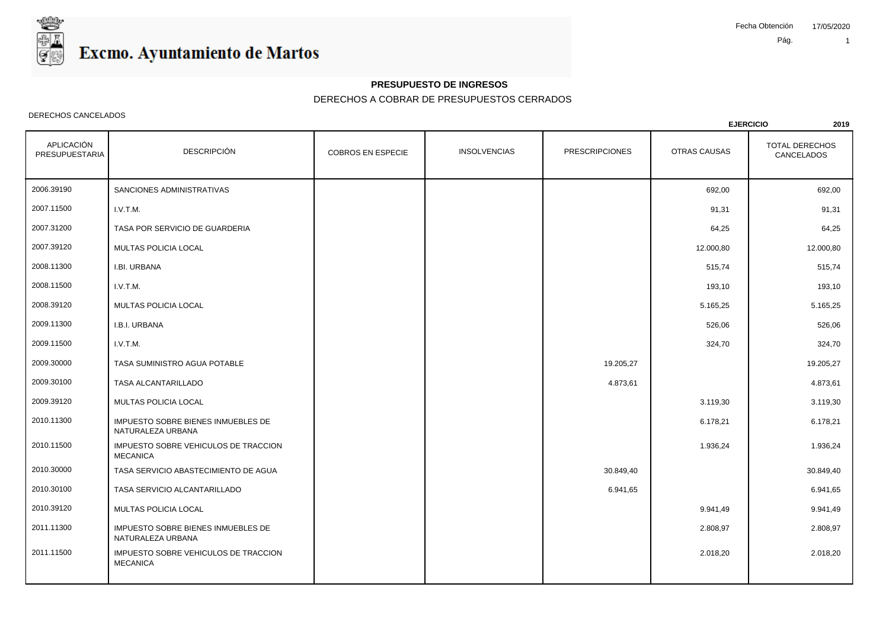

### **PRESUPUESTO DE INGRESOS**

## DERECHOS A COBRAR DE PRESUPUESTOS CERRADOS

#### DERECHOS CANCELADOS

|                              |                                                         |                          |                     |                       | <b>EJERCICIO</b> | 2019                         |
|------------------------------|---------------------------------------------------------|--------------------------|---------------------|-----------------------|------------------|------------------------------|
| APLICACIÓN<br>PRESUPUESTARIA | <b>DESCRIPCIÓN</b>                                      | <b>COBROS EN ESPECIE</b> | <b>INSOLVENCIAS</b> | <b>PRESCRIPCIONES</b> | OTRAS CAUSAS     | TOTAL DERECHOS<br>CANCELADOS |
| 2006.39190                   | SANCIONES ADMINISTRATIVAS                               |                          |                     |                       | 692,00           | 692,00                       |
| 2007.11500                   | I.V.T.M.                                                |                          |                     |                       | 91,31            | 91,31                        |
| 2007.31200                   | TASA POR SERVICIO DE GUARDERIA                          |                          |                     |                       | 64,25            | 64,25                        |
| 2007.39120                   | MULTAS POLICIA LOCAL                                    |                          |                     |                       | 12.000,80        | 12.000,80                    |
| 2008.11300                   | I.BI. URBANA                                            |                          |                     |                       | 515,74           | 515,74                       |
| 2008.11500                   | I.V.T.M.                                                |                          |                     |                       | 193,10           | 193,10                       |
| 2008.39120                   | MULTAS POLICIA LOCAL                                    |                          |                     |                       | 5.165,25         | 5.165,25                     |
| 2009.11300                   | I.B.I. URBANA                                           |                          |                     |                       | 526,06           | 526,06                       |
| 2009.11500                   | I.V.T.M.                                                |                          |                     |                       | 324,70           | 324,70                       |
| 2009.30000                   | TASA SUMINISTRO AGUA POTABLE                            |                          |                     | 19.205,27             |                  | 19.205,27                    |
| 2009.30100                   | TASA ALCANTARILLADO                                     |                          |                     | 4.873,61              |                  | 4.873,61                     |
| 2009.39120                   | MULTAS POLICIA LOCAL                                    |                          |                     |                       | 3.119,30         | 3.119,30                     |
| 2010.11300                   | IMPUESTO SOBRE BIENES INMUEBLES DE<br>NATURALEZA URBANA |                          |                     |                       | 6.178,21         | 6.178,21                     |
| 2010.11500                   | IMPUESTO SOBRE VEHICULOS DE TRACCION<br><b>MECANICA</b> |                          |                     |                       | 1.936,24         | 1.936,24                     |
| 2010.30000                   | TASA SERVICIO ABASTECIMIENTO DE AGUA                    |                          |                     | 30.849,40             |                  | 30.849,40                    |
| 2010.30100                   | TASA SERVICIO ALCANTARILLADO                            |                          |                     | 6.941,65              |                  | 6.941,65                     |
| 2010.39120                   | MULTAS POLICIA LOCAL                                    |                          |                     |                       | 9.941,49         | 9.941,49                     |
| 2011.11300                   | IMPUESTO SOBRE BIENES INMUEBLES DE<br>NATURALEZA URBANA |                          |                     |                       | 2.808,97         | 2.808,97                     |
| 2011.11500                   | IMPUESTO SOBRE VEHICULOS DE TRACCION<br><b>MECANICA</b> |                          |                     |                       | 2.018,20         | 2.018,20                     |
|                              |                                                         |                          |                     |                       |                  |                              |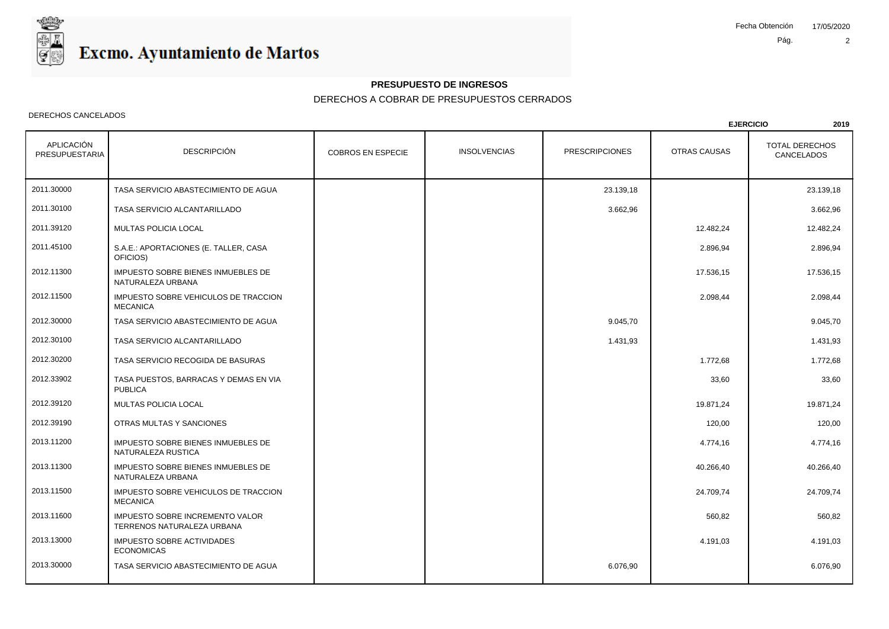

### **PRESUPUESTO DE INGRESOS**

## DERECHOS A COBRAR DE PRESUPUESTOS CERRADOS

#### DERECHOS CANCELADOS

|                              |                                                                      |                          |                     |                       | <b>EJERCICIO</b> | 2019                                |
|------------------------------|----------------------------------------------------------------------|--------------------------|---------------------|-----------------------|------------------|-------------------------------------|
| APLICACIÓN<br>PRESUPUESTARIA | <b>DESCRIPCIÓN</b>                                                   | <b>COBROS EN ESPECIE</b> | <b>INSOLVENCIAS</b> | <b>PRESCRIPCIONES</b> | OTRAS CAUSAS     | <b>TOTAL DERECHOS</b><br>CANCELADOS |
| 2011.30000                   | TASA SERVICIO ABASTECIMIENTO DE AGUA                                 |                          |                     | 23.139,18             |                  | 23.139,18                           |
| 2011.30100                   | TASA SERVICIO ALCANTARILLADO                                         |                          |                     | 3.662,96              |                  | 3.662,96                            |
| 2011.39120                   | MULTAS POLICIA LOCAL                                                 |                          |                     |                       | 12.482,24        | 12.482,24                           |
| 2011.45100                   | S.A.E.: APORTACIONES (E. TALLER, CASA<br>OFICIOS)                    |                          |                     |                       | 2.896,94         | 2.896,94                            |
| 2012.11300                   | IMPUESTO SOBRE BIENES INMUEBLES DE<br>NATURALEZA URBANA              |                          |                     |                       | 17.536,15        | 17.536,15                           |
| 2012.11500                   | IMPUESTO SOBRE VEHICULOS DE TRACCION<br><b>MECANICA</b>              |                          |                     |                       | 2.098,44         | 2.098,44                            |
| 2012.30000                   | TASA SERVICIO ABASTECIMIENTO DE AGUA                                 |                          |                     | 9.045,70              |                  | 9.045,70                            |
| 2012.30100                   | TASA SERVICIO ALCANTARILLADO                                         |                          |                     | 1.431,93              |                  | 1.431,93                            |
| 2012.30200                   | TASA SERVICIO RECOGIDA DE BASURAS                                    |                          |                     |                       | 1.772,68         | 1.772,68                            |
| 2012.33902                   | TASA PUESTOS, BARRACAS Y DEMAS EN VIA<br><b>PUBLICA</b>              |                          |                     |                       | 33,60            | 33,60                               |
| 2012.39120                   | <b>MULTAS POLICIA LOCAL</b>                                          |                          |                     |                       | 19.871,24        | 19.871.24                           |
| 2012.39190                   | OTRAS MULTAS Y SANCIONES                                             |                          |                     |                       | 120,00           | 120,00                              |
| 2013.11200                   | IMPUESTO SOBRE BIENES INMUEBLES DE<br>NATURALEZA RUSTICA             |                          |                     |                       | 4.774,16         | 4.774,16                            |
| 2013.11300                   | IMPUESTO SOBRE BIENES INMUEBLES DE<br>NATURALEZA URBANA              |                          |                     |                       | 40.266,40        | 40.266,40                           |
| 2013.11500                   | IMPUESTO SOBRE VEHICULOS DE TRACCION<br><b>MECANICA</b>              |                          |                     |                       | 24.709,74        | 24.709,74                           |
| 2013.11600                   | <b>IMPUESTO SOBRE INCREMENTO VALOR</b><br>TERRENOS NATURALEZA URBANA |                          |                     |                       | 560,82           | 560,82                              |
| 2013.13000                   | IMPUESTO SOBRE ACTIVIDADES<br><b>ECONOMICAS</b>                      |                          |                     |                       | 4.191,03         | 4.191,03                            |
| 2013.30000                   | TASA SERVICIO ABASTECIMIENTO DE AGUA                                 |                          |                     | 6.076,90              |                  | 6.076,90                            |
|                              |                                                                      |                          |                     |                       |                  |                                     |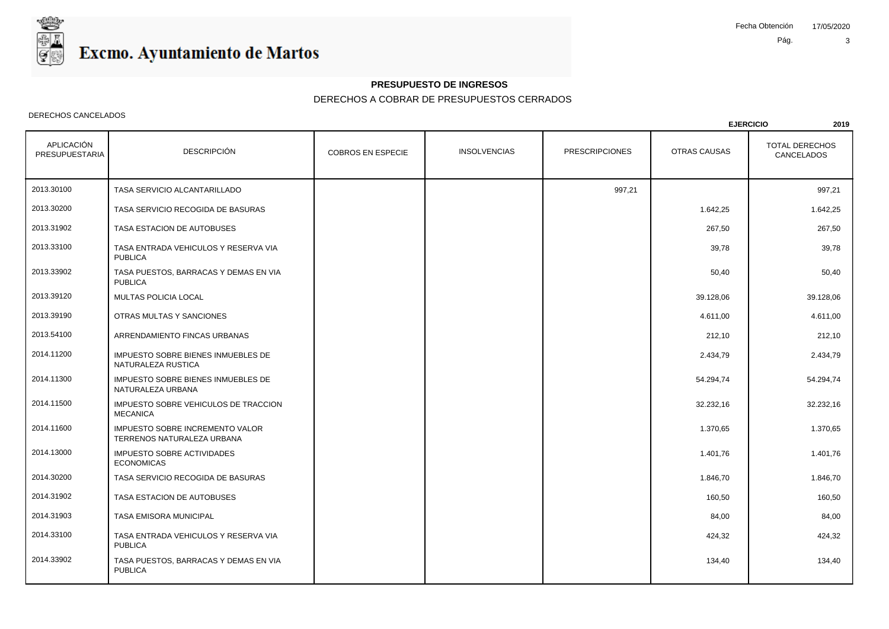

### **PRESUPUESTO DE INGRESOS**

## DERECHOS A COBRAR DE PRESUPUESTOS CERRADOS

#### DERECHOS CANCELADOS

|                              |                                                               |                          |                     |                       |              | <b>EJERCICIO</b><br>2019            |
|------------------------------|---------------------------------------------------------------|--------------------------|---------------------|-----------------------|--------------|-------------------------------------|
| APLICACIÓN<br>PRESUPUESTARIA | <b>DESCRIPCIÓN</b>                                            | <b>COBROS EN ESPECIE</b> | <b>INSOLVENCIAS</b> | <b>PRESCRIPCIONES</b> | OTRAS CAUSAS | <b>TOTAL DERECHOS</b><br>CANCELADOS |
| 2013.30100                   | TASA SERVICIO ALCANTARILLADO                                  |                          |                     | 997,21                |              | 997,21                              |
| 2013.30200                   | TASA SERVICIO RECOGIDA DE BASURAS                             |                          |                     |                       | 1.642,25     | 1.642,25                            |
| 2013.31902                   | TASA ESTACION DE AUTOBUSES                                    |                          |                     |                       | 267,50       | 267,50                              |
| 2013.33100                   | TASA ENTRADA VEHICULOS Y RESERVA VIA<br><b>PUBLICA</b>        |                          |                     |                       | 39,78        | 39,78                               |
| 2013.33902                   | TASA PUESTOS, BARRACAS Y DEMAS EN VIA<br><b>PUBLICA</b>       |                          |                     |                       | 50,40        | 50,40                               |
| 2013.39120                   | MULTAS POLICIA LOCAL                                          |                          |                     |                       | 39.128,06    | 39.128,06                           |
| 2013.39190                   | OTRAS MULTAS Y SANCIONES                                      |                          |                     |                       | 4.611,00     | 4.611,00                            |
| 2013.54100                   | ARRENDAMIENTO FINCAS URBANAS                                  |                          |                     |                       | 212,10       | 212,10                              |
| 2014.11200                   | IMPUESTO SOBRE BIENES INMUEBLES DE<br>NATURALEZA RUSTICA      |                          |                     |                       | 2.434,79     | 2.434,79                            |
| 2014.11300                   | IMPUESTO SOBRE BIENES INMUEBLES DE<br>NATURALEZA URBANA       |                          |                     |                       | 54.294,74    | 54.294,74                           |
| 2014.11500                   | IMPUESTO SOBRE VEHICULOS DE TRACCION<br><b>MECANICA</b>       |                          |                     |                       | 32.232,16    | 32.232,16                           |
| 2014.11600                   | IMPUESTO SOBRE INCREMENTO VALOR<br>TERRENOS NATURALEZA URBANA |                          |                     |                       | 1.370,65     | 1.370,65                            |
| 2014.13000                   | IMPUESTO SOBRE ACTIVIDADES<br><b>ECONOMICAS</b>               |                          |                     |                       | 1.401,76     | 1.401,76                            |
| 2014.30200                   | TASA SERVICIO RECOGIDA DE BASURAS                             |                          |                     |                       | 1.846,70     | 1.846.70                            |
| 2014.31902                   | TASA ESTACION DE AUTOBUSES                                    |                          |                     |                       | 160,50       | 160,50                              |
| 2014.31903                   | TASA EMISORA MUNICIPAL                                        |                          |                     |                       | 84,00        | 84,00                               |
| 2014.33100                   | TASA ENTRADA VEHICULOS Y RESERVA VIA<br><b>PUBLICA</b>        |                          |                     |                       | 424,32       | 424,32                              |
| 2014.33902                   | TASA PUESTOS, BARRACAS Y DEMAS EN VIA<br><b>PUBLICA</b>       |                          |                     |                       | 134,40       | 134,40                              |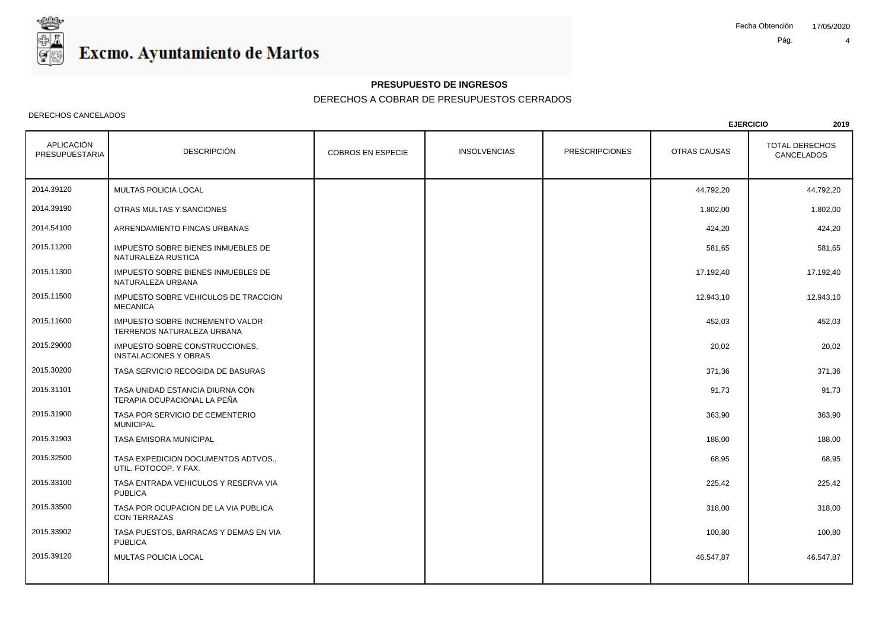

## **PRESUPUESTO DE INGRESOS**

## DERECHOS A COBRAR DE PRESUPUESTOS CERRADOS

#### DERECHOS CANCELADOS

|                              |                                                                |                          |                     |                       |              | <b>EJERCICIO</b><br>2019            |
|------------------------------|----------------------------------------------------------------|--------------------------|---------------------|-----------------------|--------------|-------------------------------------|
| APLICACIÓN<br>PRESUPUESTARIA | <b>DESCRIPCIÓN</b>                                             | <b>COBROS EN ESPECIE</b> | <b>INSOLVENCIAS</b> | <b>PRESCRIPCIONES</b> | OTRAS CAUSAS | <b>TOTAL DERECHOS</b><br>CANCELADOS |
| 2014.39120                   | MULTAS POLICIA LOCAL                                           |                          |                     |                       | 44.792,20    | 44.792,20                           |
| 2014.39190                   | OTRAS MULTAS Y SANCIONES                                       |                          |                     |                       | 1.802,00     | 1.802,00                            |
| 2014.54100                   | ARRENDAMIENTO FINCAS URBANAS                                   |                          |                     |                       | 424,20       | 424,20                              |
| 2015.11200                   | IMPUESTO SOBRE BIENES INMUEBLES DE<br>NATURALEZA RUSTICA       |                          |                     |                       | 581,65       | 581,65                              |
| 2015.11300                   | IMPUESTO SOBRE BIENES INMUEBLES DE<br>NATURALEZA URBANA        |                          |                     |                       | 17.192,40    | 17.192,40                           |
| 2015.11500                   | IMPUESTO SOBRE VEHICULOS DE TRACCION<br><b>MECANICA</b>        |                          |                     |                       | 12.943,10    | 12.943,10                           |
| 2015.11600                   | IMPUESTO SOBRE INCREMENTO VALOR<br>TERRENOS NATURALEZA URBANA  |                          |                     |                       | 452,03       | 452,03                              |
| 2015.29000                   | IMPUESTO SOBRE CONSTRUCCIONES.<br><b>INSTALACIONES Y OBRAS</b> |                          |                     |                       | 20,02        | 20,02                               |
| 2015.30200                   | TASA SERVICIO RECOGIDA DE BASURAS                              |                          |                     |                       | 371,36       | 371,36                              |
| 2015.31101                   | TASA UNIDAD ESTANCIA DIURNA CON<br>TERAPIA OCUPACIONAL LA PEÑA |                          |                     |                       | 91,73        | 91,73                               |
| 2015.31900                   | TASA POR SERVICIO DE CEMENTERIO<br><b>MUNICIPAL</b>            |                          |                     |                       | 363,90       | 363,90                              |
| 2015.31903                   | TASA EMISORA MUNICIPAL                                         |                          |                     |                       | 188,00       | 188,00                              |
| 2015.32500                   | TASA EXPEDICION DOCUMENTOS ADTVOS.,<br>UTIL. FOTOCOP. Y FAX.   |                          |                     |                       | 68,95        | 68,95                               |
| 2015.33100                   | TASA ENTRADA VEHICULOS Y RESERVA VIA<br><b>PUBLICA</b>         |                          |                     |                       | 225,42       | 225,42                              |
| 2015.33500                   | TASA POR OCUPACION DE LA VIA PUBLICA<br><b>CON TERRAZAS</b>    |                          |                     |                       | 318,00       | 318,00                              |
| 2015.33902                   | TASA PUESTOS, BARRACAS Y DEMAS EN VIA<br><b>PUBLICA</b>        |                          |                     |                       | 100,80       | 100,80                              |
| 2015.39120                   | MULTAS POLICIA LOCAL                                           |                          |                     |                       | 46.547,87    | 46.547,87                           |
|                              |                                                                |                          |                     |                       |              |                                     |